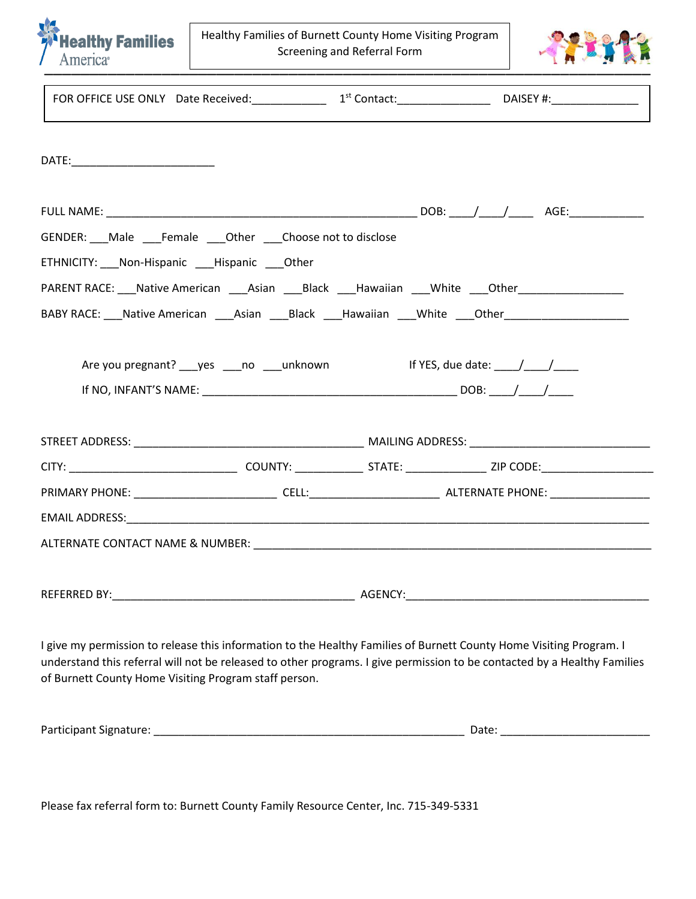

Healthy Families of Burnett County Home Visiting Program Screening and Referral Form



|                                                       |  | FOR OFFICE USE ONLY Date Received: 1st Contact: 1st Contact: DAISEY #:                                                                                                                                                                          |
|-------------------------------------------------------|--|-------------------------------------------------------------------------------------------------------------------------------------------------------------------------------------------------------------------------------------------------|
| DATE:______________________________                   |  |                                                                                                                                                                                                                                                 |
|                                                       |  |                                                                                                                                                                                                                                                 |
| GENDER: Male Female Other Choose not to disclose      |  |                                                                                                                                                                                                                                                 |
| ETHNICITY: Non-Hispanic Hispanic Other                |  |                                                                                                                                                                                                                                                 |
|                                                       |  | PARENT RACE: Native American Asian Black Hawaiian White Other                                                                                                                                                                                   |
|                                                       |  |                                                                                                                                                                                                                                                 |
|                                                       |  |                                                                                                                                                                                                                                                 |
|                                                       |  |                                                                                                                                                                                                                                                 |
|                                                       |  |                                                                                                                                                                                                                                                 |
|                                                       |  |                                                                                                                                                                                                                                                 |
|                                                       |  |                                                                                                                                                                                                                                                 |
|                                                       |  |                                                                                                                                                                                                                                                 |
| of Burnett County Home Visiting Program staff person. |  | I give my permission to release this information to the Healthy Families of Burnett County Home Visiting Program. I<br>understand this referral will not be released to other programs. I give permission to be contacted by a Healthy Families |

| <b>Participant Si</b><br>. Signature: | Date: |  |
|---------------------------------------|-------|--|
|                                       |       |  |

Please fax referral form to: Burnett County Family Resource Center, Inc. 715-349-5331